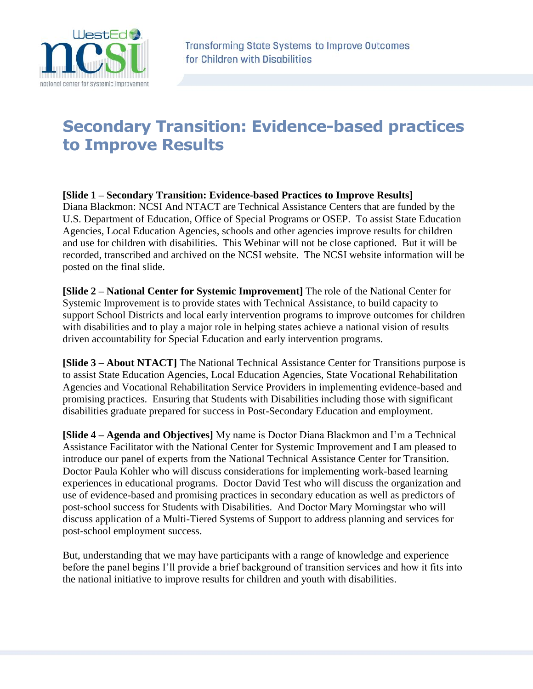

## **Secondary Transition: Evidence-based practices to Improve Results**

**[Slide 1 – Secondary Transition: Evidence-based Practices to Improve Results]** Diana Blackmon: NCSI And NTACT are Technical Assistance Centers that are funded by the U.S. Department of Education, Office of Special Programs or OSEP. To assist State Education Agencies, Local Education Agencies, schools and other agencies improve results for children and use for children with disabilities. This Webinar will not be close captioned. But it will be recorded, transcribed and archived on the NCSI website. The NCSI website information will be posted on the final slide.

**[Slide 2 – National Center for Systemic Improvement]** The role of the National Center for Systemic Improvement is to provide states with Technical Assistance, to build capacity to support School Districts and local early intervention programs to improve outcomes for children with disabilities and to play a major role in helping states achieve a national vision of results driven accountability for Special Education and early intervention programs.

**[Slide 3 – About NTACT]** The National Technical Assistance Center for Transitions purpose is to assist State Education Agencies, Local Education Agencies, State Vocational Rehabilitation Agencies and Vocational Rehabilitation Service Providers in implementing evidence-based and promising practices. Ensuring that Students with Disabilities including those with significant disabilities graduate prepared for success in Post-Secondary Education and employment.

**[Slide 4 – Agenda and Objectives]** My name is Doctor Diana Blackmon and I'm a Technical Assistance Facilitator with the National Center for Systemic Improvement and I am pleased to introduce our panel of experts from the National Technical Assistance Center for Transition. Doctor Paula Kohler who will discuss considerations for implementing work-based learning experiences in educational programs. Doctor David Test who will discuss the organization and use of evidence-based and promising practices in secondary education as well as predictors of post-school success for Students with Disabilities. And Doctor Mary Morningstar who will discuss application of a Multi-Tiered Systems of Support to address planning and services for post-school employment success.

But, understanding that we may have participants with a range of knowledge and experience before the panel begins I'll provide a brief background of transition services and how it fits into the national initiative to improve results for children and youth with disabilities.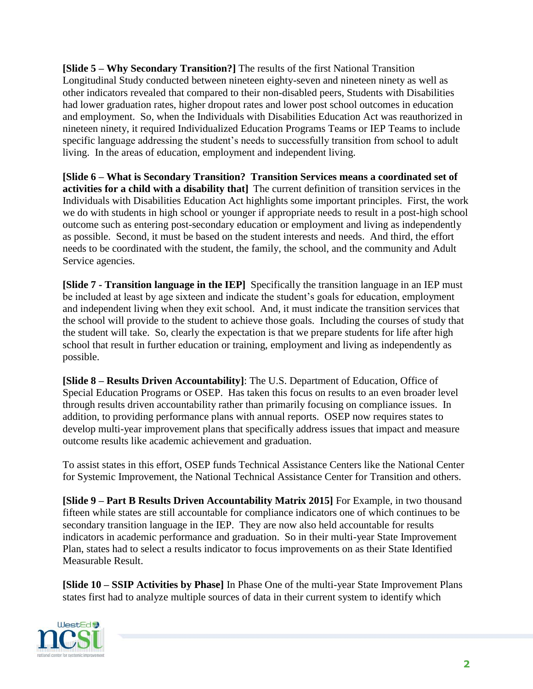**[Slide 5 – Why Secondary Transition?]** The results of the first National Transition Longitudinal Study conducted between nineteen eighty-seven and nineteen ninety as well as other indicators revealed that compared to their non-disabled peers, Students with Disabilities had lower graduation rates, higher dropout rates and lower post school outcomes in education and employment. So, when the Individuals with Disabilities Education Act was reauthorized in nineteen ninety, it required Individualized Education Programs Teams or IEP Teams to include specific language addressing the student's needs to successfully transition from school to adult living. In the areas of education, employment and independent living.

**[Slide 6 – What is Secondary Transition? Transition Services means a coordinated set of activities for a child with a disability that]** The current definition of transition services in the Individuals with Disabilities Education Act highlights some important principles. First, the work we do with students in high school or younger if appropriate needs to result in a post-high school outcome such as entering post-secondary education or employment and living as independently as possible. Second, it must be based on the student interests and needs. And third, the effort needs to be coordinated with the student, the family, the school, and the community and Adult Service agencies.

**[Slide 7 - Transition language in the IEP]** Specifically the transition language in an IEP must be included at least by age sixteen and indicate the student's goals for education, employment and independent living when they exit school. And, it must indicate the transition services that the school will provide to the student to achieve those goals. Including the courses of study that the student will take. So, clearly the expectation is that we prepare students for life after high school that result in further education or training, employment and living as independently as possible.

**[Slide 8 – Results Driven Accountability]**: The U.S. Department of Education, Office of Special Education Programs or OSEP. Has taken this focus on results to an even broader level through results driven accountability rather than primarily focusing on compliance issues. In addition, to providing performance plans with annual reports. OSEP now requires states to develop multi-year improvement plans that specifically address issues that impact and measure outcome results like academic achievement and graduation.

To assist states in this effort, OSEP funds Technical Assistance Centers like the National Center for Systemic Improvement, the National Technical Assistance Center for Transition and others.

**[Slide 9 – Part B Results Driven Accountability Matrix 2015]** For Example, in two thousand fifteen while states are still accountable for compliance indicators one of which continues to be secondary transition language in the IEP. They are now also held accountable for results indicators in academic performance and graduation. So in their multi-year State Improvement Plan, states had to select a results indicator to focus improvements on as their State Identified Measurable Result.

**[Slide 10 – SSIP Activities by Phase]** In Phase One of the multi-year State Improvement Plans states first had to analyze multiple sources of data in their current system to identify which

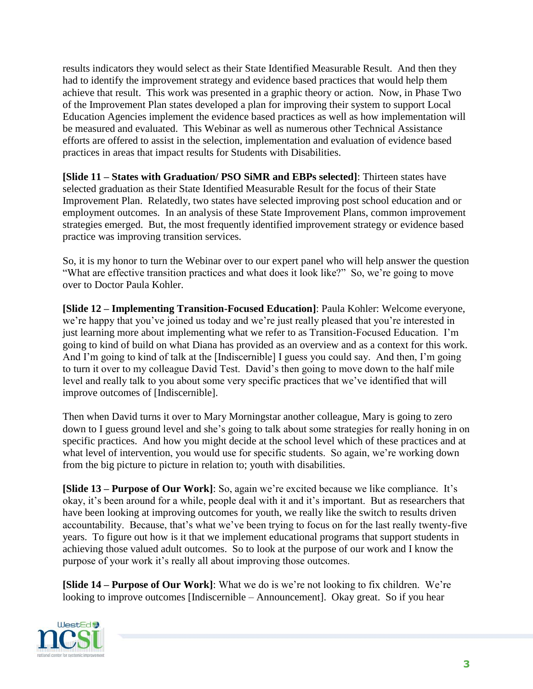results indicators they would select as their State Identified Measurable Result. And then they had to identify the improvement strategy and evidence based practices that would help them achieve that result. This work was presented in a graphic theory or action. Now, in Phase Two of the Improvement Plan states developed a plan for improving their system to support Local Education Agencies implement the evidence based practices as well as how implementation will be measured and evaluated. This Webinar as well as numerous other Technical Assistance efforts are offered to assist in the selection, implementation and evaluation of evidence based practices in areas that impact results for Students with Disabilities.

**[Slide 11 – States with Graduation/ PSO SiMR and EBPs selected]**: Thirteen states have selected graduation as their State Identified Measurable Result for the focus of their State Improvement Plan. Relatedly, two states have selected improving post school education and or employment outcomes. In an analysis of these State Improvement Plans, common improvement strategies emerged. But, the most frequently identified improvement strategy or evidence based practice was improving transition services.

So, it is my honor to turn the Webinar over to our expert panel who will help answer the question "What are effective transition practices and what does it look like?" So, we're going to move over to Doctor Paula Kohler.

**[Slide 12 – Implementing Transition-Focused Education]**: Paula Kohler: Welcome everyone, we're happy that you've joined us today and we're just really pleased that you're interested in just learning more about implementing what we refer to as Transition-Focused Education. I'm going to kind of build on what Diana has provided as an overview and as a context for this work. And I'm going to kind of talk at the [Indiscernible] I guess you could say. And then, I'm going to turn it over to my colleague David Test. David's then going to move down to the half mile level and really talk to you about some very specific practices that we've identified that will improve outcomes of [Indiscernible].

Then when David turns it over to Mary Morningstar another colleague, Mary is going to zero down to I guess ground level and she's going to talk about some strategies for really honing in on specific practices. And how you might decide at the school level which of these practices and at what level of intervention, you would use for specific students. So again, we're working down from the big picture to picture in relation to; youth with disabilities.

**[Slide 13 – Purpose of Our Work]**: So, again we're excited because we like compliance. It's okay, it's been around for a while, people deal with it and it's important. But as researchers that have been looking at improving outcomes for youth, we really like the switch to results driven accountability. Because, that's what we've been trying to focus on for the last really twenty-five years. To figure out how is it that we implement educational programs that support students in achieving those valued adult outcomes. So to look at the purpose of our work and I know the purpose of your work it's really all about improving those outcomes.

**[Slide 14 – Purpose of Our Work]**: What we do is we're not looking to fix children. We're looking to improve outcomes [Indiscernible – Announcement]. Okay great. So if you hear

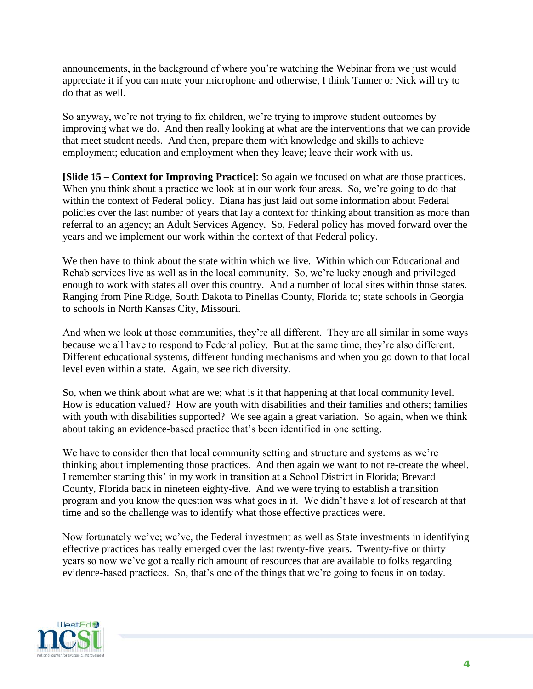announcements, in the background of where you're watching the Webinar from we just would appreciate it if you can mute your microphone and otherwise, I think Tanner or Nick will try to do that as well.

So anyway, we're not trying to fix children, we're trying to improve student outcomes by improving what we do. And then really looking at what are the interventions that we can provide that meet student needs. And then, prepare them with knowledge and skills to achieve employment; education and employment when they leave; leave their work with us.

**[Slide 15 – Context for Improving Practice]**: So again we focused on what are those practices. When you think about a practice we look at in our work four areas. So, we're going to do that within the context of Federal policy. Diana has just laid out some information about Federal policies over the last number of years that lay a context for thinking about transition as more than referral to an agency; an Adult Services Agency. So, Federal policy has moved forward over the years and we implement our work within the context of that Federal policy.

We then have to think about the state within which we live. Within which our Educational and Rehab services live as well as in the local community. So, we're lucky enough and privileged enough to work with states all over this country. And a number of local sites within those states. Ranging from Pine Ridge, South Dakota to Pinellas County, Florida to; state schools in Georgia to schools in North Kansas City, Missouri.

And when we look at those communities, they're all different. They are all similar in some ways because we all have to respond to Federal policy. But at the same time, they're also different. Different educational systems, different funding mechanisms and when you go down to that local level even within a state. Again, we see rich diversity.

So, when we think about what are we; what is it that happening at that local community level. How is education valued? How are youth with disabilities and their families and others; families with youth with disabilities supported? We see again a great variation. So again, when we think about taking an evidence-based practice that's been identified in one setting.

We have to consider then that local community setting and structure and systems as we're thinking about implementing those practices. And then again we want to not re-create the wheel. I remember starting this' in my work in transition at a School District in Florida; Brevard County, Florida back in nineteen eighty-five. And we were trying to establish a transition program and you know the question was what goes in it. We didn't have a lot of research at that time and so the challenge was to identify what those effective practices were.

Now fortunately we've; we've, the Federal investment as well as State investments in identifying effective practices has really emerged over the last twenty-five years. Twenty-five or thirty years so now we've got a really rich amount of resources that are available to folks regarding evidence-based practices. So, that's one of the things that we're going to focus in on today.

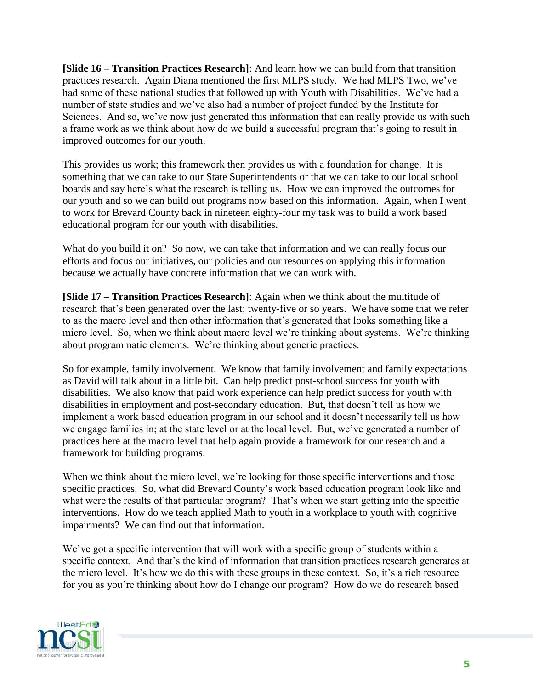**[Slide 16 – Transition Practices Research]**: And learn how we can build from that transition practices research. Again Diana mentioned the first MLPS study. We had MLPS Two, we've had some of these national studies that followed up with Youth with Disabilities. We've had a number of state studies and we've also had a number of project funded by the Institute for Sciences. And so, we've now just generated this information that can really provide us with such a frame work as we think about how do we build a successful program that's going to result in improved outcomes for our youth.

This provides us work; this framework then provides us with a foundation for change. It is something that we can take to our State Superintendents or that we can take to our local school boards and say here's what the research is telling us. How we can improved the outcomes for our youth and so we can build out programs now based on this information. Again, when I went to work for Brevard County back in nineteen eighty-four my task was to build a work based educational program for our youth with disabilities.

What do you build it on? So now, we can take that information and we can really focus our efforts and focus our initiatives, our policies and our resources on applying this information because we actually have concrete information that we can work with.

**[Slide 17 – Transition Practices Research]**: Again when we think about the multitude of research that's been generated over the last; twenty-five or so years. We have some that we refer to as the macro level and then other information that's generated that looks something like a micro level. So, when we think about macro level we're thinking about systems. We're thinking about programmatic elements. We're thinking about generic practices.

So for example, family involvement. We know that family involvement and family expectations as David will talk about in a little bit. Can help predict post-school success for youth with disabilities. We also know that paid work experience can help predict success for youth with disabilities in employment and post-secondary education. But, that doesn't tell us how we implement a work based education program in our school and it doesn't necessarily tell us how we engage families in; at the state level or at the local level. But, we've generated a number of practices here at the macro level that help again provide a framework for our research and a framework for building programs.

When we think about the micro level, we're looking for those specific interventions and those specific practices. So, what did Brevard County's work based education program look like and what were the results of that particular program? That's when we start getting into the specific interventions. How do we teach applied Math to youth in a workplace to youth with cognitive impairments? We can find out that information.

We've got a specific intervention that will work with a specific group of students within a specific context. And that's the kind of information that transition practices research generates at the micro level. It's how we do this with these groups in these context. So, it's a rich resource for you as you're thinking about how do I change our program? How do we do research based

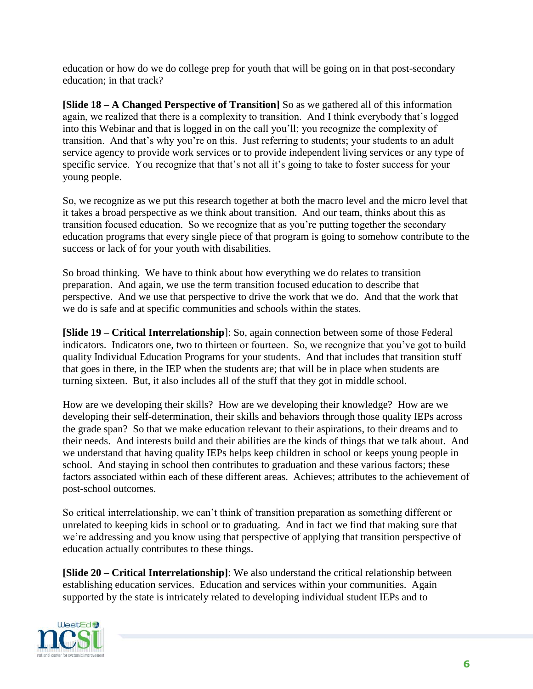education or how do we do college prep for youth that will be going on in that post-secondary education; in that track?

**[Slide 18 – A Changed Perspective of Transition]** So as we gathered all of this information again, we realized that there is a complexity to transition. And I think everybody that's logged into this Webinar and that is logged in on the call you'll; you recognize the complexity of transition. And that's why you're on this. Just referring to students; your students to an adult service agency to provide work services or to provide independent living services or any type of specific service. You recognize that that's not all it's going to take to foster success for your young people.

So, we recognize as we put this research together at both the macro level and the micro level that it takes a broad perspective as we think about transition. And our team, thinks about this as transition focused education. So we recognize that as you're putting together the secondary education programs that every single piece of that program is going to somehow contribute to the success or lack of for your youth with disabilities.

So broad thinking. We have to think about how everything we do relates to transition preparation. And again, we use the term transition focused education to describe that perspective. And we use that perspective to drive the work that we do. And that the work that we do is safe and at specific communities and schools within the states.

**[Slide 19 – Critical Interrelationship**]: So, again connection between some of those Federal indicators. Indicators one, two to thirteen or fourteen. So, we recognize that you've got to build quality Individual Education Programs for your students. And that includes that transition stuff that goes in there, in the IEP when the students are; that will be in place when students are turning sixteen. But, it also includes all of the stuff that they got in middle school.

How are we developing their skills? How are we developing their knowledge? How are we developing their self-determination, their skills and behaviors through those quality IEPs across the grade span? So that we make education relevant to their aspirations, to their dreams and to their needs. And interests build and their abilities are the kinds of things that we talk about. And we understand that having quality IEPs helps keep children in school or keeps young people in school. And staying in school then contributes to graduation and these various factors; these factors associated within each of these different areas. Achieves; attributes to the achievement of post-school outcomes.

So critical interrelationship, we can't think of transition preparation as something different or unrelated to keeping kids in school or to graduating. And in fact we find that making sure that we're addressing and you know using that perspective of applying that transition perspective of education actually contributes to these things.

**[Slide 20 – Critical Interrelationship]**: We also understand the critical relationship between establishing education services. Education and services within your communities. Again supported by the state is intricately related to developing individual student IEPs and to

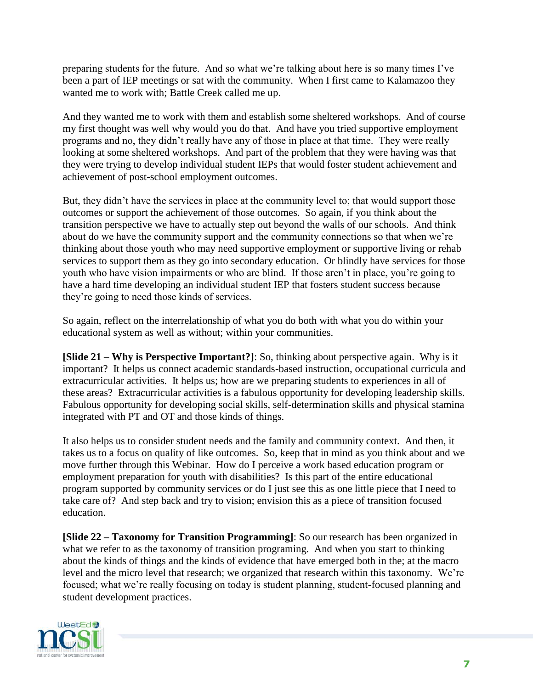preparing students for the future. And so what we're talking about here is so many times I've been a part of IEP meetings or sat with the community. When I first came to Kalamazoo they wanted me to work with; Battle Creek called me up.

And they wanted me to work with them and establish some sheltered workshops. And of course my first thought was well why would you do that. And have you tried supportive employment programs and no, they didn't really have any of those in place at that time. They were really looking at some sheltered workshops. And part of the problem that they were having was that they were trying to develop individual student IEPs that would foster student achievement and achievement of post-school employment outcomes.

But, they didn't have the services in place at the community level to; that would support those outcomes or support the achievement of those outcomes. So again, if you think about the transition perspective we have to actually step out beyond the walls of our schools. And think about do we have the community support and the community connections so that when we're thinking about those youth who may need supportive employment or supportive living or rehab services to support them as they go into secondary education. Or blindly have services for those youth who have vision impairments or who are blind. If those aren't in place, you're going to have a hard time developing an individual student IEP that fosters student success because they're going to need those kinds of services.

So again, reflect on the interrelationship of what you do both with what you do within your educational system as well as without; within your communities.

**[Slide 21 – Why is Perspective Important?]**: So, thinking about perspective again. Why is it important? It helps us connect academic standards-based instruction, occupational curricula and extracurricular activities. It helps us; how are we preparing students to experiences in all of these areas? Extracurricular activities is a fabulous opportunity for developing leadership skills. Fabulous opportunity for developing social skills, self-determination skills and physical stamina integrated with PT and OT and those kinds of things.

It also helps us to consider student needs and the family and community context. And then, it takes us to a focus on quality of like outcomes. So, keep that in mind as you think about and we move further through this Webinar. How do I perceive a work based education program or employment preparation for youth with disabilities? Is this part of the entire educational program supported by community services or do I just see this as one little piece that I need to take care of? And step back and try to vision; envision this as a piece of transition focused education.

**[Slide 22 – Taxonomy for Transition Programming]**: So our research has been organized in what we refer to as the taxonomy of transition programing. And when you start to thinking about the kinds of things and the kinds of evidence that have emerged both in the; at the macro level and the micro level that research; we organized that research within this taxonomy. We're focused; what we're really focusing on today is student planning, student-focused planning and student development practices.

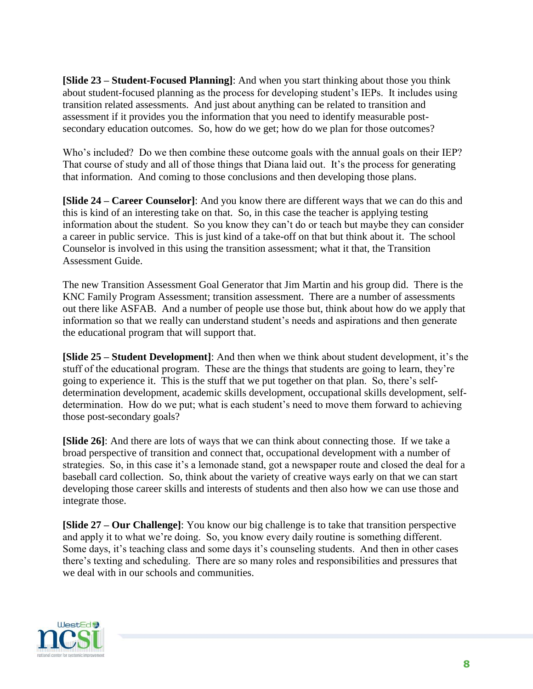**[Slide 23 – Student-Focused Planning]**: And when you start thinking about those you think about student-focused planning as the process for developing student's IEPs. It includes using transition related assessments. And just about anything can be related to transition and assessment if it provides you the information that you need to identify measurable postsecondary education outcomes. So, how do we get; how do we plan for those outcomes?

Who's included? Do we then combine these outcome goals with the annual goals on their IEP? That course of study and all of those things that Diana laid out. It's the process for generating that information. And coming to those conclusions and then developing those plans.

**[Slide 24 – Career Counselor]**: And you know there are different ways that we can do this and this is kind of an interesting take on that. So, in this case the teacher is applying testing information about the student. So you know they can't do or teach but maybe they can consider a career in public service. This is just kind of a take-off on that but think about it. The school Counselor is involved in this using the transition assessment; what it that, the Transition Assessment Guide.

The new Transition Assessment Goal Generator that Jim Martin and his group did. There is the KNC Family Program Assessment; transition assessment. There are a number of assessments out there like ASFAB. And a number of people use those but, think about how do we apply that information so that we really can understand student's needs and aspirations and then generate the educational program that will support that.

**[Slide 25 – Student Development]**: And then when we think about student development, it's the stuff of the educational program. These are the things that students are going to learn, they're going to experience it. This is the stuff that we put together on that plan. So, there's selfdetermination development, academic skills development, occupational skills development, selfdetermination. How do we put; what is each student's need to move them forward to achieving those post-secondary goals?

**[Slide 26]**: And there are lots of ways that we can think about connecting those. If we take a broad perspective of transition and connect that, occupational development with a number of strategies. So, in this case it's a lemonade stand, got a newspaper route and closed the deal for a baseball card collection. So, think about the variety of creative ways early on that we can start developing those career skills and interests of students and then also how we can use those and integrate those.

**[Slide 27 – Our Challenge]**: You know our big challenge is to take that transition perspective and apply it to what we're doing. So, you know every daily routine is something different. Some days, it's teaching class and some days it's counseling students. And then in other cases there's texting and scheduling. There are so many roles and responsibilities and pressures that we deal with in our schools and communities.

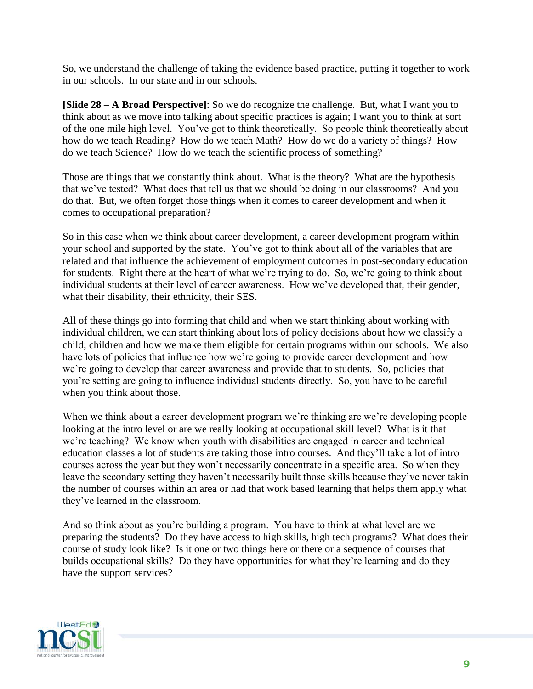So, we understand the challenge of taking the evidence based practice, putting it together to work in our schools. In our state and in our schools.

**[Slide 28 – A Broad Perspective]**: So we do recognize the challenge. But, what I want you to think about as we move into talking about specific practices is again; I want you to think at sort of the one mile high level. You've got to think theoretically. So people think theoretically about how do we teach Reading? How do we teach Math? How do we do a variety of things? How do we teach Science? How do we teach the scientific process of something?

Those are things that we constantly think about. What is the theory? What are the hypothesis that we've tested? What does that tell us that we should be doing in our classrooms? And you do that. But, we often forget those things when it comes to career development and when it comes to occupational preparation?

So in this case when we think about career development, a career development program within your school and supported by the state. You've got to think about all of the variables that are related and that influence the achievement of employment outcomes in post-secondary education for students. Right there at the heart of what we're trying to do. So, we're going to think about individual students at their level of career awareness. How we've developed that, their gender, what their disability, their ethnicity, their SES.

All of these things go into forming that child and when we start thinking about working with individual children, we can start thinking about lots of policy decisions about how we classify a child; children and how we make them eligible for certain programs within our schools. We also have lots of policies that influence how we're going to provide career development and how we're going to develop that career awareness and provide that to students. So, policies that you're setting are going to influence individual students directly. So, you have to be careful when you think about those.

When we think about a career development program we're thinking are we're developing people looking at the intro level or are we really looking at occupational skill level? What is it that we're teaching? We know when youth with disabilities are engaged in career and technical education classes a lot of students are taking those intro courses. And they'll take a lot of intro courses across the year but they won't necessarily concentrate in a specific area. So when they leave the secondary setting they haven't necessarily built those skills because they've never takin the number of courses within an area or had that work based learning that helps them apply what they've learned in the classroom.

And so think about as you're building a program. You have to think at what level are we preparing the students? Do they have access to high skills, high tech programs? What does their course of study look like? Is it one or two things here or there or a sequence of courses that builds occupational skills? Do they have opportunities for what they're learning and do they have the support services?

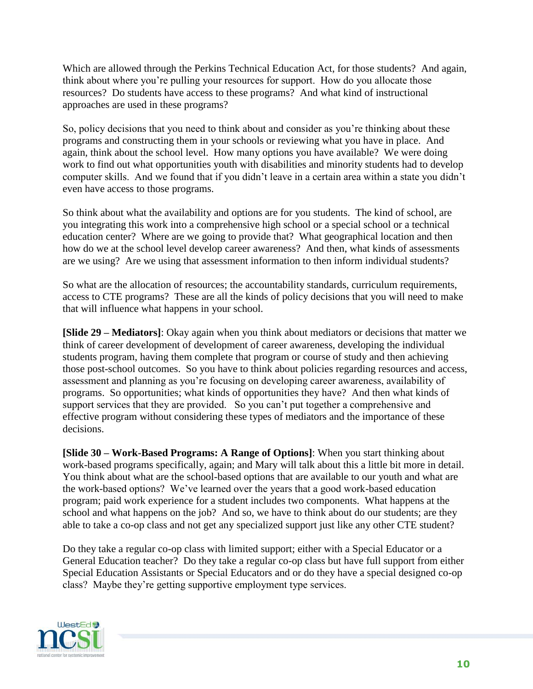Which are allowed through the Perkins Technical Education Act, for those students? And again, think about where you're pulling your resources for support. How do you allocate those resources? Do students have access to these programs? And what kind of instructional approaches are used in these programs?

So, policy decisions that you need to think about and consider as you're thinking about these programs and constructing them in your schools or reviewing what you have in place. And again, think about the school level. How many options you have available? We were doing work to find out what opportunities youth with disabilities and minority students had to develop computer skills. And we found that if you didn't leave in a certain area within a state you didn't even have access to those programs.

So think about what the availability and options are for you students. The kind of school, are you integrating this work into a comprehensive high school or a special school or a technical education center? Where are we going to provide that? What geographical location and then how do we at the school level develop career awareness? And then, what kinds of assessments are we using? Are we using that assessment information to then inform individual students?

So what are the allocation of resources; the accountability standards, curriculum requirements, access to CTE programs? These are all the kinds of policy decisions that you will need to make that will influence what happens in your school.

**[Slide 29 – Mediators]**: Okay again when you think about mediators or decisions that matter we think of career development of development of career awareness, developing the individual students program, having them complete that program or course of study and then achieving those post-school outcomes. So you have to think about policies regarding resources and access, assessment and planning as you're focusing on developing career awareness, availability of programs. So opportunities; what kinds of opportunities they have? And then what kinds of support services that they are provided. So you can't put together a comprehensive and effective program without considering these types of mediators and the importance of these decisions.

**[Slide 30 – Work-Based Programs: A Range of Options]**: When you start thinking about work-based programs specifically, again; and Mary will talk about this a little bit more in detail. You think about what are the school-based options that are available to our youth and what are the work-based options? We've learned over the years that a good work-based education program; paid work experience for a student includes two components. What happens at the school and what happens on the job? And so, we have to think about do our students; are they able to take a co-op class and not get any specialized support just like any other CTE student?

Do they take a regular co-op class with limited support; either with a Special Educator or a General Education teacher? Do they take a regular co-op class but have full support from either Special Education Assistants or Special Educators and or do they have a special designed co-op class? Maybe they're getting supportive employment type services.

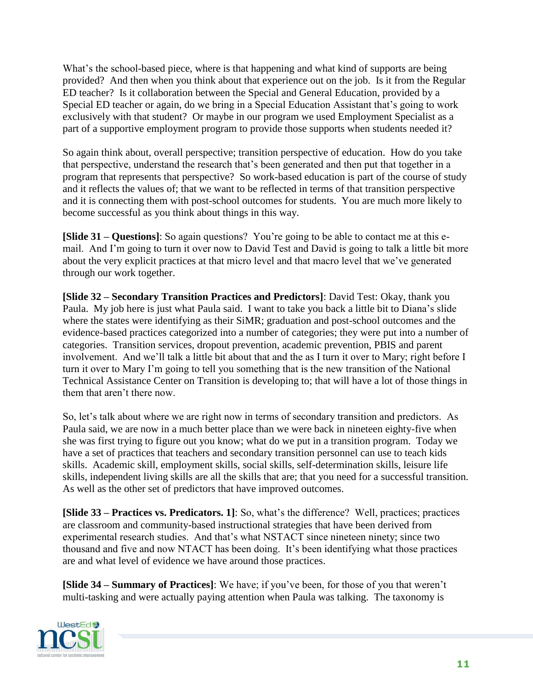What's the school-based piece, where is that happening and what kind of supports are being provided? And then when you think about that experience out on the job. Is it from the Regular ED teacher? Is it collaboration between the Special and General Education, provided by a Special ED teacher or again, do we bring in a Special Education Assistant that's going to work exclusively with that student? Or maybe in our program we used Employment Specialist as a part of a supportive employment program to provide those supports when students needed it?

So again think about, overall perspective; transition perspective of education. How do you take that perspective, understand the research that's been generated and then put that together in a program that represents that perspective? So work-based education is part of the course of study and it reflects the values of; that we want to be reflected in terms of that transition perspective and it is connecting them with post-school outcomes for students. You are much more likely to become successful as you think about things in this way.

**[Slide 31 – Questions]**: So again questions? You're going to be able to contact me at this email. And I'm going to turn it over now to David Test and David is going to talk a little bit more about the very explicit practices at that micro level and that macro level that we've generated through our work together.

**[Slide 32 – Secondary Transition Practices and Predictors]**: David Test: Okay, thank you Paula. My job here is just what Paula said. I want to take you back a little bit to Diana's slide where the states were identifying as their SiMR; graduation and post-school outcomes and the evidence-based practices categorized into a number of categories; they were put into a number of categories. Transition services, dropout prevention, academic prevention, PBIS and parent involvement. And we'll talk a little bit about that and the as I turn it over to Mary; right before I turn it over to Mary I'm going to tell you something that is the new transition of the National Technical Assistance Center on Transition is developing to; that will have a lot of those things in them that aren't there now.

So, let's talk about where we are right now in terms of secondary transition and predictors. As Paula said, we are now in a much better place than we were back in nineteen eighty-five when she was first trying to figure out you know; what do we put in a transition program. Today we have a set of practices that teachers and secondary transition personnel can use to teach kids skills. Academic skill, employment skills, social skills, self-determination skills, leisure life skills, independent living skills are all the skills that are; that you need for a successful transition. As well as the other set of predictors that have improved outcomes.

**[Slide 33 – Practices vs. Predicators. 1]**: So, what's the difference? Well, practices; practices are classroom and community-based instructional strategies that have been derived from experimental research studies. And that's what NSTACT since nineteen ninety; since two thousand and five and now NTACT has been doing. It's been identifying what those practices are and what level of evidence we have around those practices.

**[Slide 34 – Summary of Practices]**: We have; if you've been, for those of you that weren't multi-tasking and were actually paying attention when Paula was talking. The taxonomy is

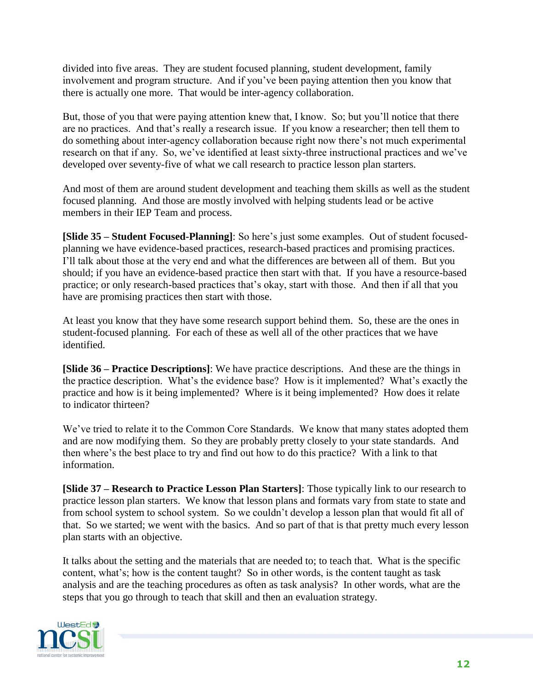divided into five areas. They are student focused planning, student development, family involvement and program structure. And if you've been paying attention then you know that there is actually one more. That would be inter-agency collaboration.

But, those of you that were paying attention knew that, I know. So; but you'll notice that there are no practices. And that's really a research issue. If you know a researcher; then tell them to do something about inter-agency collaboration because right now there's not much experimental research on that if any. So, we've identified at least sixty-three instructional practices and we've developed over seventy-five of what we call research to practice lesson plan starters.

And most of them are around student development and teaching them skills as well as the student focused planning. And those are mostly involved with helping students lead or be active members in their IEP Team and process.

**[Slide 35 – Student Focused-Planning]**: So here's just some examples. Out of student focusedplanning we have evidence-based practices, research-based practices and promising practices. I'll talk about those at the very end and what the differences are between all of them. But you should; if you have an evidence-based practice then start with that. If you have a resource-based practice; or only research-based practices that's okay, start with those. And then if all that you have are promising practices then start with those.

At least you know that they have some research support behind them. So, these are the ones in student-focused planning. For each of these as well all of the other practices that we have identified.

**[Slide 36 – Practice Descriptions]**: We have practice descriptions. And these are the things in the practice description. What's the evidence base? How is it implemented? What's exactly the practice and how is it being implemented? Where is it being implemented? How does it relate to indicator thirteen?

We've tried to relate it to the Common Core Standards. We know that many states adopted them and are now modifying them. So they are probably pretty closely to your state standards. And then where's the best place to try and find out how to do this practice? With a link to that information.

**[Slide 37 – Research to Practice Lesson Plan Starters]**: Those typically link to our research to practice lesson plan starters. We know that lesson plans and formats vary from state to state and from school system to school system. So we couldn't develop a lesson plan that would fit all of that. So we started; we went with the basics. And so part of that is that pretty much every lesson plan starts with an objective.

It talks about the setting and the materials that are needed to; to teach that. What is the specific content, what's; how is the content taught? So in other words, is the content taught as task analysis and are the teaching procedures as often as task analysis? In other words, what are the steps that you go through to teach that skill and then an evaluation strategy.

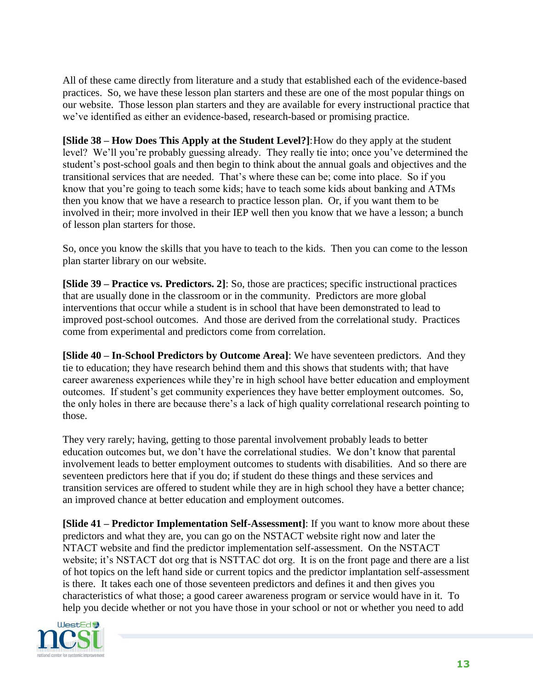All of these came directly from literature and a study that established each of the evidence-based practices. So, we have these lesson plan starters and these are one of the most popular things on our website. Those lesson plan starters and they are available for every instructional practice that we've identified as either an evidence-based, research-based or promising practice.

**[Slide 38 – How Does This Apply at the Student Level?]:** How do they apply at the student level? We'll you're probably guessing already. They really tie into; once you've determined the student's post-school goals and then begin to think about the annual goals and objectives and the transitional services that are needed. That's where these can be; come into place. So if you know that you're going to teach some kids; have to teach some kids about banking and ATMs then you know that we have a research to practice lesson plan. Or, if you want them to be involved in their; more involved in their IEP well then you know that we have a lesson; a bunch of lesson plan starters for those.

So, once you know the skills that you have to teach to the kids. Then you can come to the lesson plan starter library on our website.

**[Slide 39 – Practice vs. Predictors. 2]**: So, those are practices; specific instructional practices that are usually done in the classroom or in the community. Predictors are more global interventions that occur while a student is in school that have been demonstrated to lead to improved post-school outcomes. And those are derived from the correlational study. Practices come from experimental and predictors come from correlation.

**[Slide 40 – In-School Predictors by Outcome Area]**: We have seventeen predictors. And they tie to education; they have research behind them and this shows that students with; that have career awareness experiences while they're in high school have better education and employment outcomes. If student's get community experiences they have better employment outcomes. So, the only holes in there are because there's a lack of high quality correlational research pointing to those.

They very rarely; having, getting to those parental involvement probably leads to better education outcomes but, we don't have the correlational studies. We don't know that parental involvement leads to better employment outcomes to students with disabilities. And so there are seventeen predictors here that if you do; if student do these things and these services and transition services are offered to student while they are in high school they have a better chance; an improved chance at better education and employment outcomes.

**[Slide 41 – Predictor Implementation Self-Assessment]**: If you want to know more about these predictors and what they are, you can go on the NSTACT website right now and later the NTACT website and find the predictor implementation self-assessment. On the NSTACT website; it's NSTACT dot org that is NSTTAC dot org. It is on the front page and there are a list of hot topics on the left hand side or current topics and the predictor implantation self-assessment is there. It takes each one of those seventeen predictors and defines it and then gives you characteristics of what those; a good career awareness program or service would have in it. To help you decide whether or not you have those in your school or not or whether you need to add

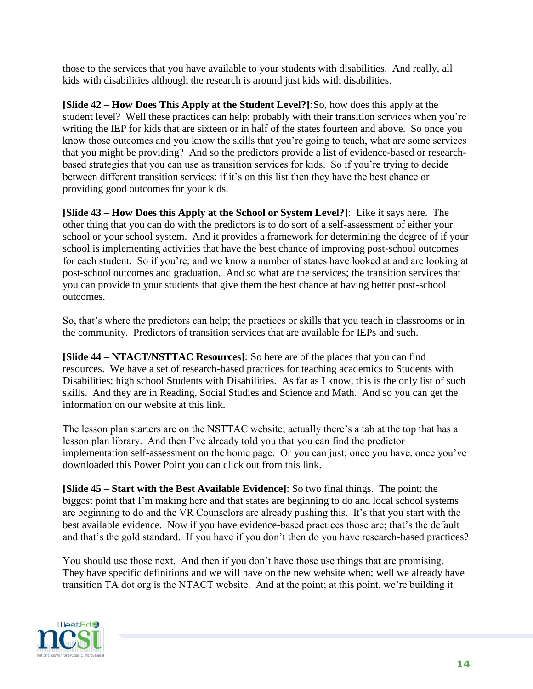those to the services that you have available to your students with disabilities. And really, all kids with disabilities although the research is around just kids with disabilities.

**[Slide 42 – How Does This Apply at the Student Level?]**:So, how does this apply at the student level? Well these practices can help; probably with their transition services when you're writing the IEP for kids that are sixteen or in half of the states fourteen and above. So once you know those outcomes and you know the skills that you're going to teach, what are some services that you might be providing? And so the predictors provide a list of evidence-based or researchbased strategies that you can use as transition services for kids. So if you're trying to decide between different transition services; if it's on this list then they have the best chance or providing good outcomes for your kids.

**[Slide 43 – How Does this Apply at the School or System Level?]**: Like it says here. The other thing that you can do with the predictors is to do sort of a self-assessment of either your school or your school system. And it provides a framework for determining the degree of if your school is implementing activities that have the best chance of improving post-school outcomes for each student. So if you're; and we know a number of states have looked at and are looking at post-school outcomes and graduation. And so what are the services; the transition services that you can provide to your students that give them the best chance at having better post-school outcomes.

So, that's where the predictors can help; the practices or skills that you teach in classrooms or in the community. Predictors of transition services that are available for IEPs and such.

**[Slide 44 – NTACT/NSTTAC Resources]**: So here are of the places that you can find resources. We have a set of research-based practices for teaching academics to Students with Disabilities; high school Students with Disabilities. As far as I know, this is the only list of such skills. And they are in Reading, Social Studies and Science and Math. And so you can get the information on our website at this link.

The lesson plan starters are on the NSTTAC website; actually there's a tab at the top that has a lesson plan library. And then I've already told you that you can find the predictor implementation self-assessment on the home page. Or you can just; once you have, once you've downloaded this Power Point you can click out from this link.

**[Slide 45 – Start with the Best Available Evidence]**: So two final things. The point; the biggest point that I'm making here and that states are beginning to do and local school systems are beginning to do and the VR Counselors are already pushing this. It's that you start with the best available evidence. Now if you have evidence-based practices those are; that's the default and that's the gold standard. If you have if you don't then do you have research-based practices?

You should use those next. And then if you don't have those use things that are promising. They have specific definitions and we will have on the new website when; well we already have transition TA dot org is the NTACT website. And at the point; at this point, we're building it

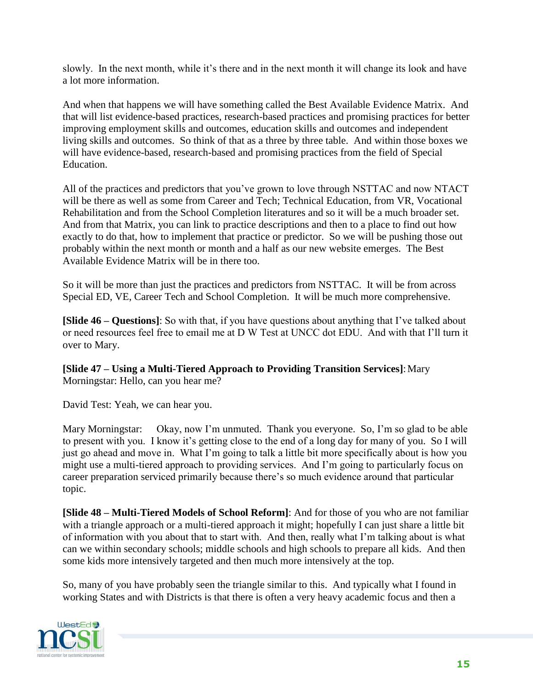slowly. In the next month, while it's there and in the next month it will change its look and have a lot more information.

And when that happens we will have something called the Best Available Evidence Matrix. And that will list evidence-based practices, research-based practices and promising practices for better improving employment skills and outcomes, education skills and outcomes and independent living skills and outcomes. So think of that as a three by three table. And within those boxes we will have evidence-based, research-based and promising practices from the field of Special Education.

All of the practices and predictors that you've grown to love through NSTTAC and now NTACT will be there as well as some from Career and Tech; Technical Education, from VR, Vocational Rehabilitation and from the School Completion literatures and so it will be a much broader set. And from that Matrix, you can link to practice descriptions and then to a place to find out how exactly to do that, how to implement that practice or predictor. So we will be pushing those out probably within the next month or month and a half as our new website emerges. The Best Available Evidence Matrix will be in there too.

So it will be more than just the practices and predictors from NSTTAC. It will be from across Special ED, VE, Career Tech and School Completion. It will be much more comprehensive.

**[Slide 46 – Questions]**: So with that, if you have questions about anything that I've talked about or need resources feel free to email me at D W Test at UNCC dot EDU. And with that I'll turn it over to Mary.

**[Slide 47 – Using a Multi-Tiered Approach to Providing Transition Services]**: Mary Morningstar: Hello, can you hear me?

David Test: Yeah, we can hear you.

Mary Morningstar: Okay, now I'm unmuted. Thank you everyone. So, I'm so glad to be able to present with you. I know it's getting close to the end of a long day for many of you. So I will just go ahead and move in. What I'm going to talk a little bit more specifically about is how you might use a multi-tiered approach to providing services. And I'm going to particularly focus on career preparation serviced primarily because there's so much evidence around that particular topic.

**[Slide 48 – Multi-Tiered Models of School Reform]**: And for those of you who are not familiar with a triangle approach or a multi-tiered approach it might; hopefully I can just share a little bit of information with you about that to start with. And then, really what I'm talking about is what can we within secondary schools; middle schools and high schools to prepare all kids. And then some kids more intensively targeted and then much more intensively at the top.

So, many of you have probably seen the triangle similar to this. And typically what I found in working States and with Districts is that there is often a very heavy academic focus and then a

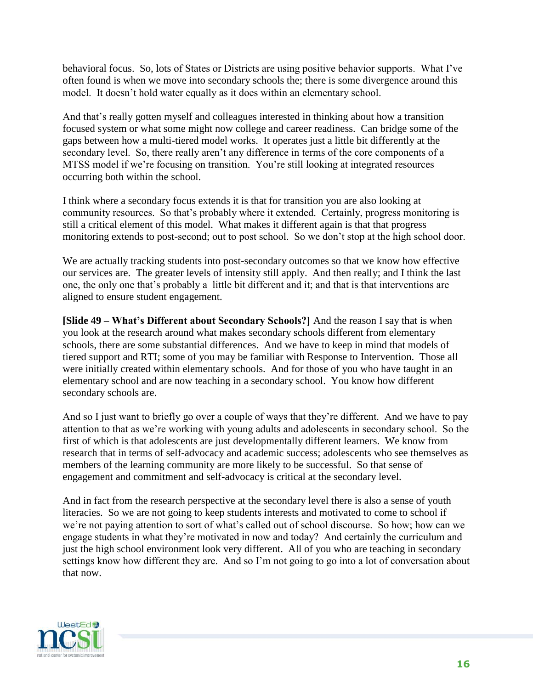behavioral focus. So, lots of States or Districts are using positive behavior supports. What I've often found is when we move into secondary schools the; there is some divergence around this model. It doesn't hold water equally as it does within an elementary school.

And that's really gotten myself and colleagues interested in thinking about how a transition focused system or what some might now college and career readiness. Can bridge some of the gaps between how a multi-tiered model works. It operates just a little bit differently at the secondary level. So, there really aren't any difference in terms of the core components of a MTSS model if we're focusing on transition. You're still looking at integrated resources occurring both within the school.

I think where a secondary focus extends it is that for transition you are also looking at community resources. So that's probably where it extended. Certainly, progress monitoring is still a critical element of this model. What makes it different again is that that progress monitoring extends to post-second; out to post school. So we don't stop at the high school door.

We are actually tracking students into post-secondary outcomes so that we know how effective our services are. The greater levels of intensity still apply. And then really; and I think the last one, the only one that's probably a little bit different and it; and that is that interventions are aligned to ensure student engagement.

**[Slide 49 – What's Different about Secondary Schools?]** And the reason I say that is when you look at the research around what makes secondary schools different from elementary schools, there are some substantial differences. And we have to keep in mind that models of tiered support and RTI; some of you may be familiar with Response to Intervention. Those all were initially created within elementary schools. And for those of you who have taught in an elementary school and are now teaching in a secondary school. You know how different secondary schools are.

And so I just want to briefly go over a couple of ways that they're different. And we have to pay attention to that as we're working with young adults and adolescents in secondary school. So the first of which is that adolescents are just developmentally different learners. We know from research that in terms of self-advocacy and academic success; adolescents who see themselves as members of the learning community are more likely to be successful. So that sense of engagement and commitment and self-advocacy is critical at the secondary level.

And in fact from the research perspective at the secondary level there is also a sense of youth literacies. So we are not going to keep students interests and motivated to come to school if we're not paying attention to sort of what's called out of school discourse. So how; how can we engage students in what they're motivated in now and today? And certainly the curriculum and just the high school environment look very different. All of you who are teaching in secondary settings know how different they are. And so I'm not going to go into a lot of conversation about that now.

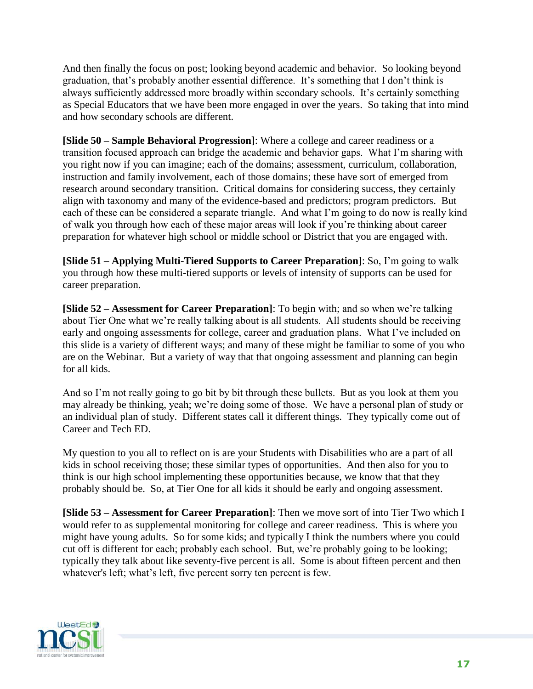And then finally the focus on post; looking beyond academic and behavior. So looking beyond graduation, that's probably another essential difference. It's something that I don't think is always sufficiently addressed more broadly within secondary schools. It's certainly something as Special Educators that we have been more engaged in over the years. So taking that into mind and how secondary schools are different.

**[Slide 50 – Sample Behavioral Progression]**: Where a college and career readiness or a transition focused approach can bridge the academic and behavior gaps. What I'm sharing with you right now if you can imagine; each of the domains; assessment, curriculum, collaboration, instruction and family involvement, each of those domains; these have sort of emerged from research around secondary transition. Critical domains for considering success, they certainly align with taxonomy and many of the evidence-based and predictors; program predictors. But each of these can be considered a separate triangle. And what I'm going to do now is really kind of walk you through how each of these major areas will look if you're thinking about career preparation for whatever high school or middle school or District that you are engaged with.

**[Slide 51 – Applying Multi-Tiered Supports to Career Preparation]**: So, I'm going to walk you through how these multi-tiered supports or levels of intensity of supports can be used for career preparation.

**[Slide 52 – Assessment for Career Preparation]**: To begin with; and so when we're talking about Tier One what we're really talking about is all students. All students should be receiving early and ongoing assessments for college, career and graduation plans. What I've included on this slide is a variety of different ways; and many of these might be familiar to some of you who are on the Webinar. But a variety of way that that ongoing assessment and planning can begin for all kids.

And so I'm not really going to go bit by bit through these bullets. But as you look at them you may already be thinking, yeah; we're doing some of those. We have a personal plan of study or an individual plan of study. Different states call it different things. They typically come out of Career and Tech ED.

My question to you all to reflect on is are your Students with Disabilities who are a part of all kids in school receiving those; these similar types of opportunities. And then also for you to think is our high school implementing these opportunities because, we know that that they probably should be. So, at Tier One for all kids it should be early and ongoing assessment.

**[Slide 53 – Assessment for Career Preparation]**: Then we move sort of into Tier Two which I would refer to as supplemental monitoring for college and career readiness. This is where you might have young adults. So for some kids; and typically I think the numbers where you could cut off is different for each; probably each school. But, we're probably going to be looking; typically they talk about like seventy-five percent is all. Some is about fifteen percent and then whatever's left; what's left, five percent sorry ten percent is few.

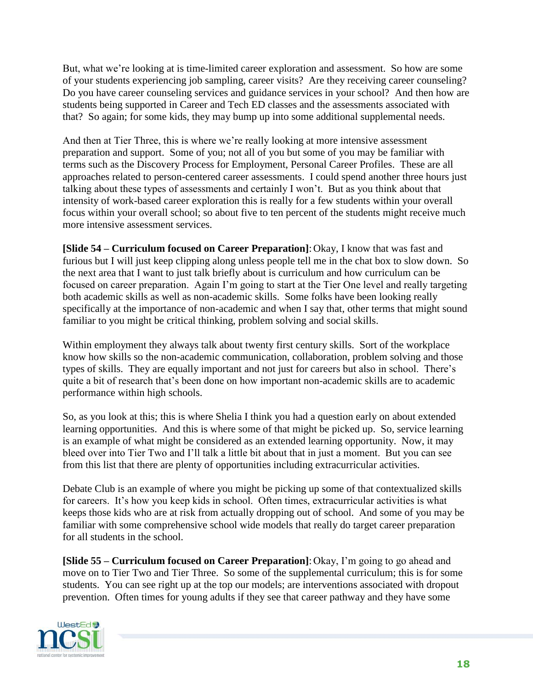But, what we're looking at is time-limited career exploration and assessment. So how are some of your students experiencing job sampling, career visits? Are they receiving career counseling? Do you have career counseling services and guidance services in your school? And then how are students being supported in Career and Tech ED classes and the assessments associated with that? So again; for some kids, they may bump up into some additional supplemental needs.

And then at Tier Three, this is where we're really looking at more intensive assessment preparation and support. Some of you; not all of you but some of you may be familiar with terms such as the Discovery Process for Employment, Personal Career Profiles. These are all approaches related to person-centered career assessments. I could spend another three hours just talking about these types of assessments and certainly I won't. But as you think about that intensity of work-based career exploration this is really for a few students within your overall focus within your overall school; so about five to ten percent of the students might receive much more intensive assessment services.

**[Slide 54 – Curriculum focused on Career Preparation]**:Okay, I know that was fast and furious but I will just keep clipping along unless people tell me in the chat box to slow down. So the next area that I want to just talk briefly about is curriculum and how curriculum can be focused on career preparation. Again I'm going to start at the Tier One level and really targeting both academic skills as well as non-academic skills. Some folks have been looking really specifically at the importance of non-academic and when I say that, other terms that might sound familiar to you might be critical thinking, problem solving and social skills.

Within employment they always talk about twenty first century skills. Sort of the workplace know how skills so the non-academic communication, collaboration, problem solving and those types of skills. They are equally important and not just for careers but also in school. There's quite a bit of research that's been done on how important non-academic skills are to academic performance within high schools.

So, as you look at this; this is where Shelia I think you had a question early on about extended learning opportunities. And this is where some of that might be picked up. So, service learning is an example of what might be considered as an extended learning opportunity. Now, it may bleed over into Tier Two and I'll talk a little bit about that in just a moment. But you can see from this list that there are plenty of opportunities including extracurricular activities.

Debate Club is an example of where you might be picking up some of that contextualized skills for careers. It's how you keep kids in school. Often times, extracurricular activities is what keeps those kids who are at risk from actually dropping out of school. And some of you may be familiar with some comprehensive school wide models that really do target career preparation for all students in the school.

**[Slide 55 – Curriculum focused on Career Preparation]**:Okay, I'm going to go ahead and move on to Tier Two and Tier Three. So some of the supplemental curriculum; this is for some students. You can see right up at the top our models; are interventions associated with dropout prevention. Often times for young adults if they see that career pathway and they have some

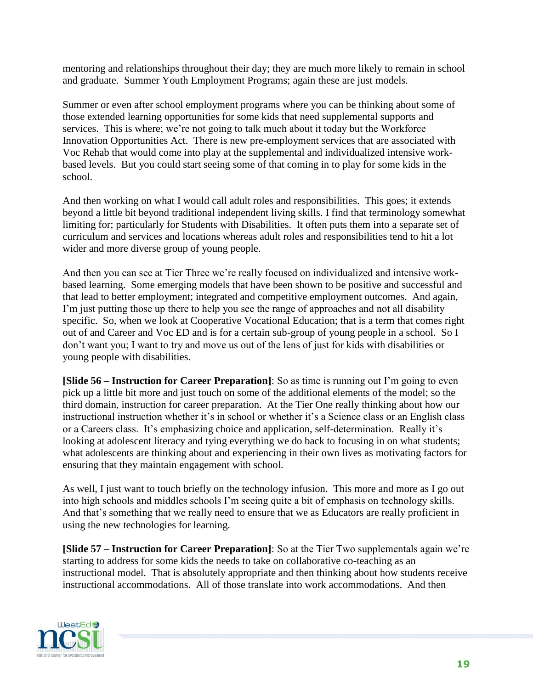mentoring and relationships throughout their day; they are much more likely to remain in school and graduate. Summer Youth Employment Programs; again these are just models.

Summer or even after school employment programs where you can be thinking about some of those extended learning opportunities for some kids that need supplemental supports and services. This is where; we're not going to talk much about it today but the Workforce Innovation Opportunities Act. There is new pre-employment services that are associated with Voc Rehab that would come into play at the supplemental and individualized intensive workbased levels. But you could start seeing some of that coming in to play for some kids in the school.

And then working on what I would call adult roles and responsibilities. This goes; it extends beyond a little bit beyond traditional independent living skills. I find that terminology somewhat limiting for; particularly for Students with Disabilities. It often puts them into a separate set of curriculum and services and locations whereas adult roles and responsibilities tend to hit a lot wider and more diverse group of young people.

And then you can see at Tier Three we're really focused on individualized and intensive workbased learning. Some emerging models that have been shown to be positive and successful and that lead to better employment; integrated and competitive employment outcomes. And again, I'm just putting those up there to help you see the range of approaches and not all disability specific. So, when we look at Cooperative Vocational Education; that is a term that comes right out of and Career and Voc ED and is for a certain sub-group of young people in a school. So I don't want you; I want to try and move us out of the lens of just for kids with disabilities or young people with disabilities.

**[Slide 56 – Instruction for Career Preparation]**: So as time is running out I'm going to even pick up a little bit more and just touch on some of the additional elements of the model; so the third domain, instruction for career preparation. At the Tier One really thinking about how our instructional instruction whether it's in school or whether it's a Science class or an English class or a Careers class. It's emphasizing choice and application, self-determination. Really it's looking at adolescent literacy and tying everything we do back to focusing in on what students; what adolescents are thinking about and experiencing in their own lives as motivating factors for ensuring that they maintain engagement with school.

As well, I just want to touch briefly on the technology infusion. This more and more as I go out into high schools and middles schools I'm seeing quite a bit of emphasis on technology skills. And that's something that we really need to ensure that we as Educators are really proficient in using the new technologies for learning.

**[Slide 57 – Instruction for Career Preparation]**: So at the Tier Two supplementals again we're starting to address for some kids the needs to take on collaborative co-teaching as an instructional model. That is absolutely appropriate and then thinking about how students receive instructional accommodations. All of those translate into work accommodations. And then

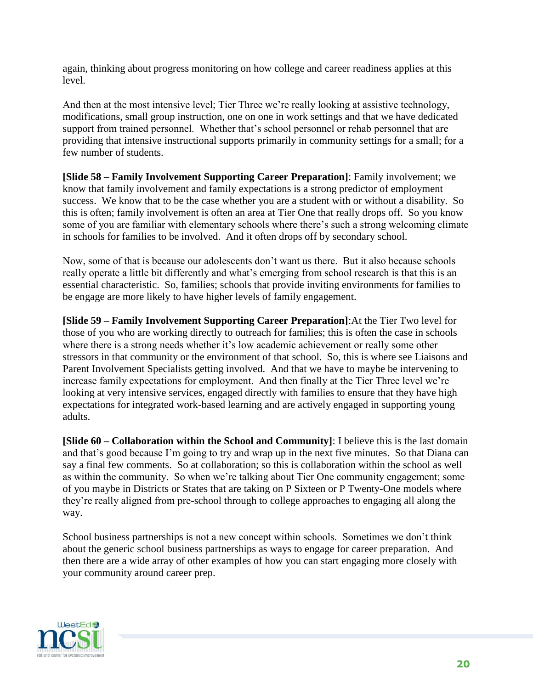again, thinking about progress monitoring on how college and career readiness applies at this level.

And then at the most intensive level; Tier Three we're really looking at assistive technology, modifications, small group instruction, one on one in work settings and that we have dedicated support from trained personnel. Whether that's school personnel or rehab personnel that are providing that intensive instructional supports primarily in community settings for a small; for a few number of students.

**[Slide 58 – Family Involvement Supporting Career Preparation]**: Family involvement; we know that family involvement and family expectations is a strong predictor of employment success. We know that to be the case whether you are a student with or without a disability. So this is often; family involvement is often an area at Tier One that really drops off. So you know some of you are familiar with elementary schools where there's such a strong welcoming climate in schools for families to be involved. And it often drops off by secondary school.

Now, some of that is because our adolescents don't want us there. But it also because schools really operate a little bit differently and what's emerging from school research is that this is an essential characteristic. So, families; schools that provide inviting environments for families to be engage are more likely to have higher levels of family engagement.

**[Slide 59 – Family Involvement Supporting Career Preparation]**:At the Tier Two level for those of you who are working directly to outreach for families; this is often the case in schools where there is a strong needs whether it's low academic achievement or really some other stressors in that community or the environment of that school. So, this is where see Liaisons and Parent Involvement Specialists getting involved. And that we have to maybe be intervening to increase family expectations for employment. And then finally at the Tier Three level we're looking at very intensive services, engaged directly with families to ensure that they have high expectations for integrated work-based learning and are actively engaged in supporting young adults.

**[Slide 60 – Collaboration within the School and Community]**: I believe this is the last domain and that's good because I'm going to try and wrap up in the next five minutes. So that Diana can say a final few comments. So at collaboration; so this is collaboration within the school as well as within the community. So when we're talking about Tier One community engagement; some of you maybe in Districts or States that are taking on P Sixteen or P Twenty-One models where they're really aligned from pre-school through to college approaches to engaging all along the way.

School business partnerships is not a new concept within schools. Sometimes we don't think about the generic school business partnerships as ways to engage for career preparation. And then there are a wide array of other examples of how you can start engaging more closely with your community around career prep.

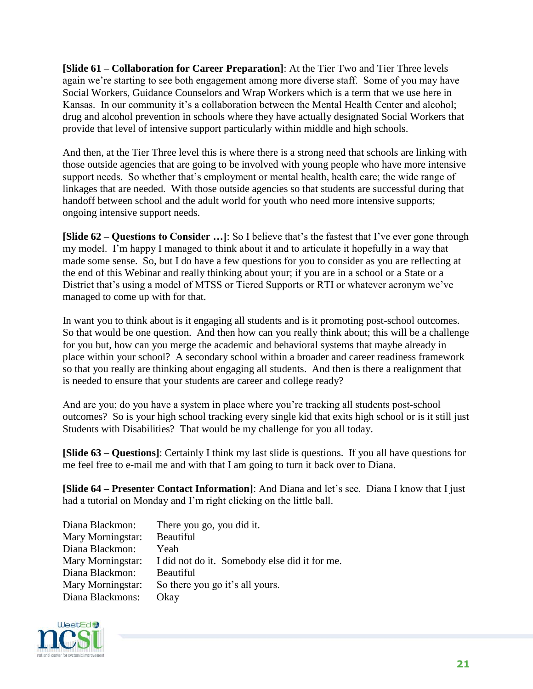**[Slide 61 – Collaboration for Career Preparation]**: At the Tier Two and Tier Three levels again we're starting to see both engagement among more diverse staff. Some of you may have Social Workers, Guidance Counselors and Wrap Workers which is a term that we use here in Kansas. In our community it's a collaboration between the Mental Health Center and alcohol; drug and alcohol prevention in schools where they have actually designated Social Workers that provide that level of intensive support particularly within middle and high schools.

And then, at the Tier Three level this is where there is a strong need that schools are linking with those outside agencies that are going to be involved with young people who have more intensive support needs. So whether that's employment or mental health, health care; the wide range of linkages that are needed. With those outside agencies so that students are successful during that handoff between school and the adult world for youth who need more intensive supports; ongoing intensive support needs.

**[Slide 62 – Questions to Consider …]**: So I believe that's the fastest that I've ever gone through my model. I'm happy I managed to think about it and to articulate it hopefully in a way that made some sense. So, but I do have a few questions for you to consider as you are reflecting at the end of this Webinar and really thinking about your; if you are in a school or a State or a District that's using a model of MTSS or Tiered Supports or RTI or whatever acronym we've managed to come up with for that.

In want you to think about is it engaging all students and is it promoting post-school outcomes. So that would be one question. And then how can you really think about; this will be a challenge for you but, how can you merge the academic and behavioral systems that maybe already in place within your school? A secondary school within a broader and career readiness framework so that you really are thinking about engaging all students. And then is there a realignment that is needed to ensure that your students are career and college ready?

And are you; do you have a system in place where you're tracking all students post-school outcomes? So is your high school tracking every single kid that exits high school or is it still just Students with Disabilities? That would be my challenge for you all today.

**[Slide 63 – Questions]**: Certainly I think my last slide is questions. If you all have questions for me feel free to e-mail me and with that I am going to turn it back over to Diana.

**[Slide 64 – Presenter Contact Information]**: And Diana and let's see. Diana I know that I just had a tutorial on Monday and I'm right clicking on the little ball.

| There you go, you did it.                     |
|-----------------------------------------------|
| Beautiful                                     |
| Yeah                                          |
| I did not do it. Somebody else did it for me. |
| <b>Beautiful</b>                              |
| So there you go it's all yours.               |
| Okay                                          |
|                                               |